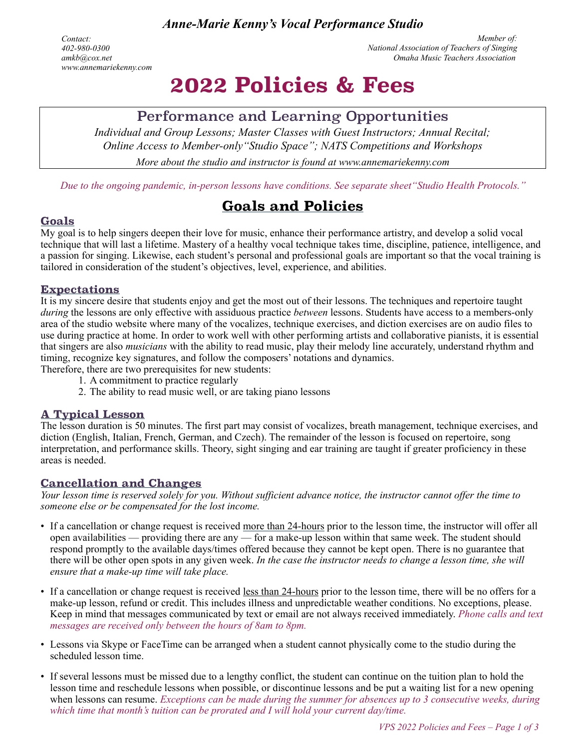*Anne-Marie Kenny's Vocal Performance Studio*

*Contact: 402-980-0300 amkb@cox.net [www.annemariekenny.com](http://www.annemariekenny.com)*

*Member of: National Association of Teachers of Singing Omaha Music Teachers Association*

# **2022 Policies & Fees**

# Performance and Learning Opportunities

*Individual and Group Lessons; Master Classes with Guest Instructors; Annual Recital; Online Access to Member-only"Studio Space"; NATS Competitions and Workshops More about the studio and instructor is found at [www.annemariekenny.com](http://www.annemariekenny.com)*

*Due to the ongoing pandemic, in-person lessons have conditions. See separate sheet"Studio Health Protocols."*

# **Goals and Policies**

#### **Goals**

My goal is to help singers deepen their love for music, enhance their performance artistry, and develop a solid vocal technique that will last a lifetime. Mastery of a healthy vocal technique takes time, discipline, patience, intelligence, and a passion for singing. Likewise, each student's personal and professional goals are important so that the vocal training is tailored in consideration of the student's objectives, level, experience, and abilities.

#### **Expectations**

It is my sincere desire that students enjoy and get the most out of their lessons. The techniques and repertoire taught *during* the lessons are only effective with assiduous practice *between* lessons. Students have access to a members-only area of the studio website where many of the vocalizes, technique exercises, and diction exercises are on audio files to use during practice at home. In order to work well with other performing artists and collaborative pianists, it is essential that singers are also *musicians* with the ability to read music, play their melody line accurately, understand rhythm and timing, recognize key signatures, and follow the composers' notations and dynamics.

Therefore, there are two prerequisites for new students:

- 1. A commitment to practice regularly
- 2. The ability to read music well, or are taking piano lessons

#### **A Typical Lesson**

The lesson duration is 50 minutes. The first part may consist of vocalizes, breath management, technique exercises, and diction (English, Italian, French, German, and Czech). The remainder of the lesson is focused on repertoire, song interpretation, and performance skills. Theory, sight singing and ear training are taught if greater proficiency in these areas is needed.

#### **Cancellation and Changes**

*Your lesson time is reserved solely for you. Without sufficient advance notice, the instructor cannot offer the time to someone else or be compensated for the lost income.* 

- If a cancellation or change request is received more than 24-hours prior to the lesson time, the instructor will offer all open availabilities — providing there are any — for a make-up lesson within that same week. The student should respond promptly to the available days/times offered because they cannot be kept open. There is no guarantee that there will be other open spots in any given week. *In the case the instructor needs to change a lesson time, she will ensure that a make-up time will take place.*
- If a cancellation or change request is received less than 24-hours prior to the lesson time, there will be no offers for a make-up lesson, refund or credit. This includes illness and unpredictable weather conditions. No exceptions, please. Keep in mind that messages communicated by text or email are not always received immediately. *Phone calls and text messages are received only between the hours of 8am to 8pm.*
- Lessons via Skype or FaceTime can be arranged when a student cannot physically come to the studio during the scheduled lesson time.
- If several lessons must be missed due to a lengthy conflict, the student can continue on the tuition plan to hold the lesson time and reschedule lessons when possible, or discontinue lessons and be put a waiting list for a new opening when lessons can resume. *Exceptions can be made during the summer for absences up to 3 consecutive weeks, during which time that month's tuition can be prorated and I will hold your current day/time.*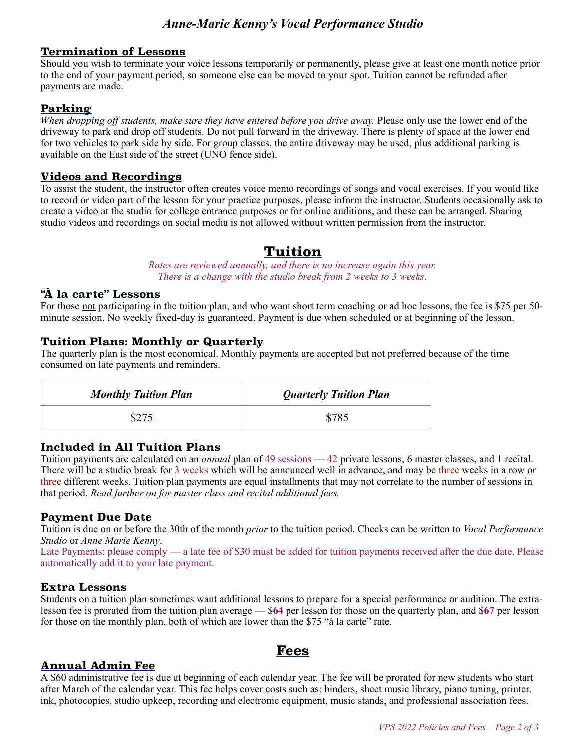## *Anne-Marie Kenny's Vocal Performance Studio*

#### **Termination of Lessons**

Should you wish to terminate your voice lessons temporarily or permanently, please give at least one month notice prior to the end of your payment period, so someone else can be moved to your spot. Tuition cannot be refunded after payments are made.

#### **Parking**

*When dropping off students, make sure they have entered before you drive away.* Please only use the lower end of the driveway to park and drop off students. Do not pull forward in the driveway. There is plenty of space at the lower end for two vehicles to park side by side. For group classes, the entire driveway may be used, plus additional parking is available on the East side of the street (UNO fence side).

#### **Videos and Recordings**

To assist the student, the instructor often creates voice memo recordings of songs and vocal exercises. If you would like to record or video part of the lesson for your practice purposes, please inform the instructor. Students occasionally ask to create a video at the studio for college entrance purposes or for online auditions, and these can be arranged. Sharing studio videos and recordings on social media is not allowed without written permission from the instructor.

## **Tuition**

*Rates are reviewed annually, and there is no increase again this year. There is a change with the studio break from 2 weeks to 3 weeks.* 

#### **"À la carte" Lessons**

For those not participating in the tuition plan, and who want short term coaching or ad hoc lessons, the fee is \$75 per 50 minute session. No weekly fixed-day is guaranteed. Payment is due when scheduled or at beginning of the lesson.

#### **Tuition Plans: Monthly or Quarterly**

The quarterly plan is the most economical. Monthly payments are accepted but not preferred because of the time consumed on late payments and reminders.

| <b>Monthly Tuition Plan</b> | <b>Quarterly Tuition Plan</b> |
|-----------------------------|-------------------------------|
|                             | \$785                         |

#### **Included in All Tuition Plans**

Tuition payments are calculated on an *annual* plan of 49 sessions — 42 private lessons, 6 master classes, and 1 recital. There will be a studio break for 3 weeks which will be announced well in advance, and may be three weeks in a row or three different weeks. Tuition plan payments are equal installments that may not correlate to the number of sessions in that period. *Read further on for master class and recital additional fees.*

#### **Payment Due Date**

Tuition is due on or before the 30th of the month *prior* to the tuition period. Checks can be written to *Vocal Performance Studio* or *Anne Marie Kenny*.

Late Payments: please comply — a late fee of \$30 must be added for tuition payments received after the due date. Please automatically add it to your late payment.

#### **Extra Lessons**

Students on a tuition plan sometimes want additional lessons to prepare for a special performance or audition. The extralesson fee is prorated from the tuition plan average — \$**64** per lesson for those on the quarterly plan, and \$**67** per lesson for those on the monthly plan, both of which are lower than the \$75 "à la carte" rate.

**Fees** 

#### **Annual Admin Fee**

A \$60 administrative fee is due at beginning of each calendar year. The fee will be prorated for new students who start after March of the calendar year. This fee helps cover costs such as: binders, sheet music library, piano tuning, printer, ink, photocopies, studio upkeep, recording and electronic equipment, music stands, and professional association fees.